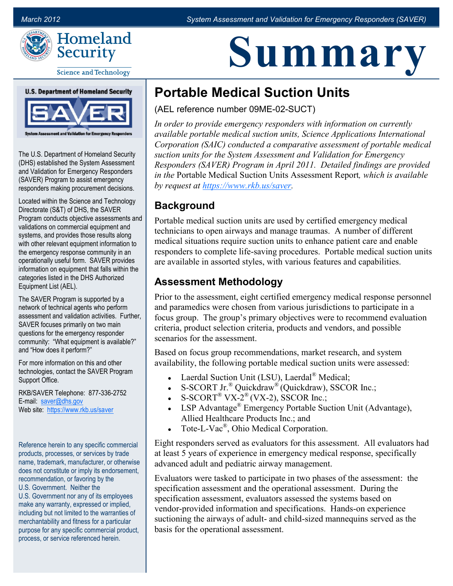

# **Summary**

**Science and Technology** 

**U.S. Department of Homeland Security** 



The U.S. Department of Homeland Security (DHS) established the System Assessment and Validation for Emergency Responders (SAVER) Program to assist emergency responders making procurement decisions.

Located within the Science and Technology Directorate (S&T) of DHS, the SAVER Program conducts objective assessments and validations on commercial equipment and systems, and provides those results along with other relevant equipment information to the emergency response community in an operationally useful form. SAVER provides information on equipment that falls within the categories listed in the DHS Authorized Equipment List (AEL).

The SAVER Program is supported by a network of technical agents who perform assessment and validation activities. Further, SAVER focuses primarily on two main questions for the emergency responder community: "What equipment is available?" and "How does it perform?"

For more information on this and other technologies, contact the SAVER Program Support Office.

RKB/SAVER Telephone: 877-336-2752 E-mail: [saver@dhs.gov](mailto:SAVER@dhs.gov) Web site: <https://www.rkb.us/saver>

Reference herein to any specific commercial products, processes, or services by trade name, trademark, manufacturer, or otherwise does not constitute or imply its endorsement, recommendation, or favoring by the U.S. Government. Neither the U.S. Government nor any of its employees make any warranty, expressed or implied, including but not limited to the warranties of merchantability and fitness for a particular purpose for any specific commercial product, process, or service referenced herein.

# **Portable Medical Suction Units**

(AEL reference number 09ME-02-SUCT)

*In order to provide emergency responders with information on currently available portable medical suction units, Science Applications International Corporation (SAIC) conducted a comparative assessment of portable medical suction units for the System Assessment and Validation for Emergency Responders (SAVER) Program in April 2011. Detailed findings are provided in the* Portable Medical Suction Units Assessment Report*, which is available by request at [https://www.rkb.us/saver.](https://www.rkb.us/saver)*

# **Background**

Portable medical suction units are used by certified emergency medical technicians to open airways and manage traumas. A number of different medical situations require suction units to enhance patient care and enable responders to complete life-saving procedures. Portable medical suction units are available in assorted styles, with various features and capabilities.

## **Assessment Methodology**

Prior to the assessment, eight certified emergency medical response personnel and paramedics were chosen from various jurisdictions to participate in a focus group. The group's primary objectives were to recommend evaluation criteria, product selection criteria, products and vendors, and possible scenarios for the assessment.

Based on focus group recommendations, market research, and system availability, the following portable medical suction units were assessed:

- Laerdal Suction Unit (LSU), Laerdal® Medical;
- S-SCORT Jr.<sup>®</sup> Quickdraw<sup>®</sup> (Quickdraw), SSCOR Inc.;
- S-SCORT<sup>®</sup> VX-2<sup>®</sup> (VX-2), SSCOR Inc.;
- LSP Advantage® Emergency Portable Suction Unit (Advantage), Allied Healthcare Products Inc.; and
- Tote-L-Vac®, Ohio Medical Corporation.

Eight responders served as evaluators for this assessment. All evaluators had at least 5 years of experience in emergency medical response, specifically advanced adult and pediatric airway management.

Evaluators were tasked to participate in two phases of the assessment: the specification assessment and the operational assessment. During the specification assessment, evaluators assessed the systems based on vendor-provided information and specifications. Hands-on experience suctioning the airways of adult- and child-sized mannequins served as the basis for the operational assessment.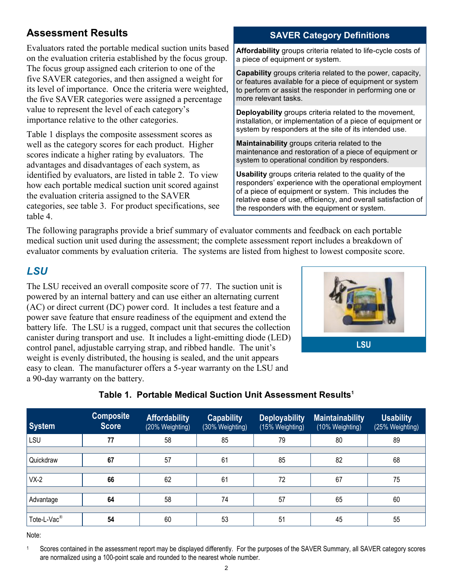# **Assessment Results**

Evaluators rated the portable medical suction units based on the evaluation criteria established by the focus group. The focus group assigned each criterion to one of the five SAVER categories, and then assigned a weight for its level of importance. Once the criteria were weighted, the five SAVER categories were assigned a percentage value to represent the level of each category's importance relative to the other categories.

Table 1 displays the composite assessment scores as well as the category scores for each product. Higher scores indicate a higher rating by evaluators. The advantages and disadvantages of each system, as identified by evaluators, are listed in table 2. To view how each portable medical suction unit scored against the evaluation criteria assigned to the SAVER categories, see table 3. For product specifications, see table 4.

#### **SAVER Category Definitions**

**Affordability** groups criteria related to life-cycle costs of a piece of equipment or system.

**Capability** groups criteria related to the power, capacity, or features available for a piece of equipment or system to perform or assist the responder in performing one or more relevant tasks.

**Deployability** groups criteria related to the movement, installation, or implementation of a piece of equipment or system by responders at the site of its intended use.

**Maintainability** groups criteria related to the maintenance and restoration of a piece of equipment or system to operational condition by responders.

**Usability** groups criteria related to the quality of the responders' experience with the operational employment of a piece of equipment or system. This includes the relative ease of use, efficiency, and overall satisfaction of the responders with the equipment or system.

The following paragraphs provide a brief summary of evaluator comments and feedback on each portable medical suction unit used during the assessment; the complete assessment report includes a breakdown of evaluator comments by evaluation criteria. The systems are listed from highest to lowest composite score.

#### *LSU*

The LSU received an overall composite score of 77. The suction unit is powered by an internal battery and can use either an alternating current (AC) or direct current (DC) power cord. It includes a test feature and a power save feature that ensure readiness of the equipment and extend the battery life. The LSU is a rugged, compact unit that secures the collection canister during transport and use. It includes a light-emitting diode (LED) control panel, adjustable carrying strap, and ribbed handle. The unit's weight is evenly distributed, the housing is sealed, and the unit appears easy to clean. The manufacturer offers a 5-year warranty on the LSU and a 90-day warranty on the battery.



| <b>System</b>           | <b>Composite</b><br><b>Score</b> | <b>Affordability</b><br>(20% Weighting) | <b>Capability</b><br>(30% Weighting) | <b>Deployability</b><br>(15% Weighting) | <b>Maintainability</b><br>(10% Weighting) | <b>Usability</b><br>(25% Weighting) |
|-------------------------|----------------------------------|-----------------------------------------|--------------------------------------|-----------------------------------------|-------------------------------------------|-------------------------------------|
| LSU                     | 77                               | 58                                      | 85                                   | 79                                      | 80                                        | 89                                  |
|                         |                                  |                                         |                                      |                                         |                                           |                                     |
| Quickdraw               | 67                               | 57                                      | 61                                   | 85                                      | 82                                        | 68                                  |
|                         |                                  |                                         |                                      |                                         |                                           |                                     |
| $VX-2$                  | 66                               | 62                                      | 61                                   | 72                                      | 67                                        | 75                                  |
|                         |                                  |                                         |                                      |                                         |                                           |                                     |
| Advantage               | 64                               | 58                                      | 74                                   | 57                                      | 65                                        | 60                                  |
|                         |                                  |                                         |                                      |                                         |                                           |                                     |
| Tote-L-Vac <sup>®</sup> | 54                               | 60                                      | 53                                   | 51                                      | 45                                        | 55                                  |

#### **Table 1. Portable Medical Suction Unit Assessment Results<sup>1</sup>**

Note:

<sup>1</sup> Scores contained in the assessment report may be displayed differently. For the purposes of the SAVER Summary, all SAVER category scores are normalized using a 100-point scale and rounded to the nearest whole number.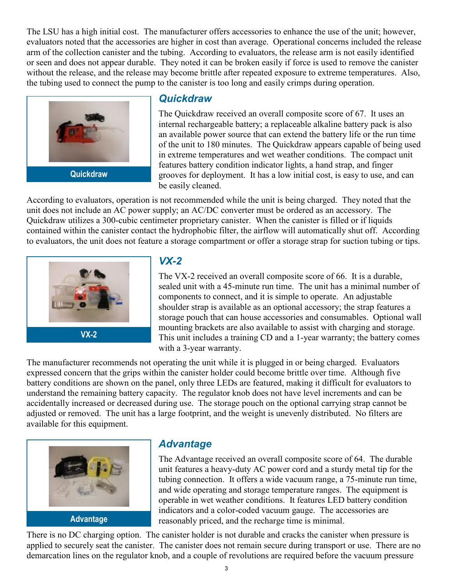The LSU has a high initial cost. The manufacturer offers accessories to enhance the use of the unit; however, evaluators noted that the accessories are higher in cost than average. Operational concerns included the release arm of the collection canister and the tubing. According to evaluators, the release arm is not easily identified or seen and does not appear durable. They noted it can be broken easily if force is used to remove the canister without the release, and the release may become brittle after repeated exposure to extreme temperatures. Also, the tubing used to connect the pump to the canister is too long and easily crimps during operation.



#### *Quickdraw*

The Quickdraw received an overall composite score of 67. It uses an internal rechargeable battery; a replaceable alkaline battery pack is also an available power source that can extend the battery life or the run time of the unit to 180 minutes. The Quickdraw appears capable of being used in extreme temperatures and wet weather conditions. The compact unit features battery condition indicator lights, a hand strap, and finger grooves for deployment. It has a low initial cost, is easy to use, and can be easily cleaned.

According to evaluators, operation is not recommended while the unit is being charged. They noted that the unit does not include an AC power supply; an AC/DC converter must be ordered as an accessory. The Quickdraw utilizes a 300-cubic centimeter proprietary canister. When the canister is filled or if liquids contained within the canister contact the hydrophobic filter, the airflow will automatically shut off. According to evaluators, the unit does not feature a storage compartment or offer a storage strap for suction tubing or tips.



#### *VX-2*

The VX-2 received an overall composite score of 66. It is a durable, sealed unit with a 45-minute run time. The unit has a minimal number of components to connect, and it is simple to operate. An adjustable shoulder strap is available as an optional accessory; the strap features a storage pouch that can house accessories and consumables. Optional wall mounting brackets are also available to assist with charging and storage. This unit includes a training CD and a 1-year warranty; the battery comes with a 3-year warranty.

The manufacturer recommends not operating the unit while it is plugged in or being charged. Evaluators expressed concern that the grips within the canister holder could become brittle over time. Although five battery conditions are shown on the panel, only three LEDs are featured, making it difficult for evaluators to understand the remaining battery capacity. The regulator knob does not have level increments and can be accidentally increased or decreased during use. The storage pouch on the optional carrying strap cannot be adjusted or removed. The unit has a large footprint, and the weight is unevenly distributed. No filters are available for this equipment.



#### *Advantage*

The Advantage received an overall composite score of 64. The durable unit features a heavy-duty AC power cord and a sturdy metal tip for the tubing connection. It offers a wide vacuum range, a 75-minute run time, and wide operating and storage temperature ranges. The equipment is operable in wet weather conditions. It features LED battery condition indicators and a color-coded vacuum gauge. The accessories are reasonably priced, and the recharge time is minimal.

There is no DC charging option. The canister holder is not durable and cracks the canister when pressure is applied to securely seat the canister. The canister does not remain secure during transport or use. There are no demarcation lines on the regulator knob, and a couple of revolutions are required before the vacuum pressure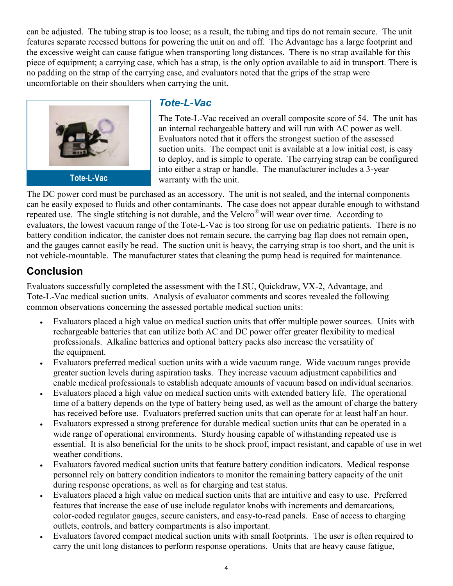can be adjusted. The tubing strap is too loose; as a result, the tubing and tips do not remain secure. The unit features separate recessed buttons for powering the unit on and off. The Advantage has a large footprint and the excessive weight can cause fatigue when transporting long distances. There is no strap available for this piece of equipment; a carrying case, which has a strap, is the only option available to aid in transport. There is no padding on the strap of the carrying case, and evaluators noted that the grips of the strap were uncomfortable on their shoulders when carrying the unit.



#### *Tote-L-Vac*

The Tote-L-Vac received an overall composite score of 54. The unit has an internal rechargeable battery and will run with AC power as well. Evaluators noted that it offers the strongest suction of the assessed suction units. The compact unit is available at a low initial cost, is easy to deploy, and is simple to operate. The carrying strap can be configured into either a strap or handle. The manufacturer includes a 3-year warranty with the unit.

The DC power cord must be purchased as an accessory. The unit is not sealed, and the internal components can be easily exposed to fluids and other contaminants. The case does not appear durable enough to withstand repeated use. The single stitching is not durable, and the Velcro® will wear over time. According to evaluators, the lowest vacuum range of the Tote-L-Vac is too strong for use on pediatric patients. There is no battery condition indicator, the canister does not remain secure, the carrying bag flap does not remain open, and the gauges cannot easily be read. The suction unit is heavy, the carrying strap is too short, and the unit is not vehicle-mountable. The manufacturer states that cleaning the pump head is required for maintenance.

## **Conclusion**

Evaluators successfully completed the assessment with the LSU, Quickdraw, VX-2, Advantage, and Tote-L-Vac medical suction units. Analysis of evaluator comments and scores revealed the following common observations concerning the assessed portable medical suction units:

- Evaluators placed a high value on medical suction units that offer multiple power sources. Units with rechargeable batteries that can utilize both AC and DC power offer greater flexibility to medical professionals. Alkaline batteries and optional battery packs also increase the versatility of the equipment.
- Evaluators preferred medical suction units with a wide vacuum range. Wide vacuum ranges provide greater suction levels during aspiration tasks. They increase vacuum adjustment capabilities and enable medical professionals to establish adequate amounts of vacuum based on individual scenarios.
- Evaluators placed a high value on medical suction units with extended battery life. The operational time of a battery depends on the type of battery being used, as well as the amount of charge the battery has received before use. Evaluators preferred suction units that can operate for at least half an hour.
- Evaluators expressed a strong preference for durable medical suction units that can be operated in a wide range of operational environments. Sturdy housing capable of withstanding repeated use is essential. It is also beneficial for the units to be shock proof, impact resistant, and capable of use in wet weather conditions.
- Evaluators favored medical suction units that feature battery condition indicators. Medical response personnel rely on battery condition indicators to monitor the remaining battery capacity of the unit during response operations, as well as for charging and test status.
- Evaluators placed a high value on medical suction units that are intuitive and easy to use. Preferred features that increase the ease of use include regulator knobs with increments and demarcations, color-coded regulator gauges, secure canisters, and easy-to-read panels. Ease of access to charging outlets, controls, and battery compartments is also important.
- Evaluators favored compact medical suction units with small footprints. The user is often required to carry the unit long distances to perform response operations. Units that are heavy cause fatigue,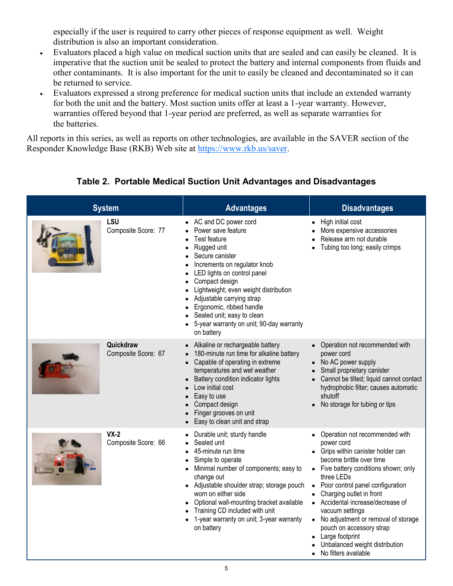especially if the user is required to carry other pieces of response equipment as well. Weight distribution is also an important consideration.

- Evaluators placed a high value on medical suction units that are sealed and can easily be cleaned. It is imperative that the suction unit be sealed to protect the battery and internal components from fluids and other contaminants. It is also important for the unit to easily be cleaned and decontaminated so it can be returned to service.
- Evaluators expressed a strong preference for medical suction units that include an extended warranty for both the unit and the battery. Most suction units offer at least a 1-year warranty. However, warranties offered beyond that 1-year period are preferred, as well as separate warranties for the batteries.

All reports in this series, as well as reports on other technologies, are available in the SAVER section of the Responder Knowledge Base (RKB) Web site at [https://www.rkb.us/saver.](https://www.rkb.us/saver)

| <b>System</b> |                                  | <b>Advantages</b>                                                                                                                                                                                                                                                                                                                                                         | <b>Disadvantages</b>                                                                                                                                                                                                                                                                                                                                                                                                                                       |  |
|---------------|----------------------------------|---------------------------------------------------------------------------------------------------------------------------------------------------------------------------------------------------------------------------------------------------------------------------------------------------------------------------------------------------------------------------|------------------------------------------------------------------------------------------------------------------------------------------------------------------------------------------------------------------------------------------------------------------------------------------------------------------------------------------------------------------------------------------------------------------------------------------------------------|--|
|               | LSU<br>Composite Score: 77       | • AC and DC power cord<br>Power save feature<br>Test feature<br>Rugged unit<br>Secure canister<br>Increments on regulator knob<br>LED lights on control panel<br>Compact design<br>Lightweight; even weight distribution<br>Adjustable carrying strap<br>Ergonomic, ribbed handle<br>Sealed unit; easy to clean<br>5-year warranty on unit; 90-day warranty<br>on battery | High initial cost<br>More expensive accessories<br>Release arm not durable<br>Tubing too long; easily crimps                                                                                                                                                                                                                                                                                                                                               |  |
|               | Quickdraw<br>Composite Score: 67 | Alkaline or rechargeable battery<br>180-minute run time for alkaline battery<br>Capable of operating in extreme<br>temperatures and wet weather<br>Battery condition indicator lights<br>Low initial cost<br>Easy to use<br>Compact design<br>Finger grooves on unit<br>Easy to clean unit and strap                                                                      | • Operation not recommended with<br>power cord<br>• No AC power supply<br>Small proprietary canister<br>Cannot be tilted; liquid cannot contact<br>hydrophobic filter; causes automatic<br>shutoff<br>No storage for tubing or tips                                                                                                                                                                                                                        |  |
|               | $VX-2$<br>Composite Score: 66    | Durable unit; sturdy handle<br>Sealed unit<br>45-minute run time<br>Simple to operate<br>Minimal number of components; easy to<br>change out<br>• Adjustable shoulder strap; storage pouch<br>worn on either side<br>Optional wall-mounting bracket available<br>Training CD included with unit<br>1-year warranty on unit; 3-year warranty<br>on battery                 | Operation not recommended with<br>power cord<br>• Grips within canister holder can<br>become brittle over time<br>• Five battery conditions shown; only<br>three LEDs<br>Poor control panel configuration<br>Charging outlet in front<br>• Accidental increase/decrease of<br>vacuum settings<br>No adjustment or removal of storage<br>$\bullet$<br>pouch on accessory strap<br>Large footprint<br>Unbalanced weight distribution<br>No filters available |  |

#### **Table 2. Portable Medical Suction Unit Advantages and Disadvantages**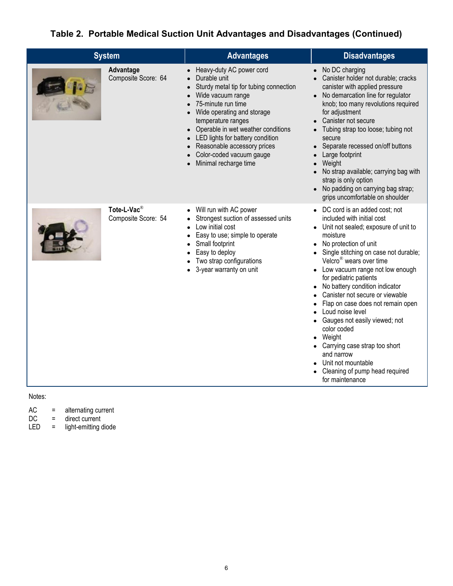#### **Table 2. Portable Medical Suction Unit Advantages and Disadvantages (Continued)**

| <b>System</b>                                  | <b>Advantages</b>                                                                                                                                                                                                                                                                                                                               | <b>Disadvantages</b>                                                                                                                                                                                                                                                                                                                                                                                                                                                                                                                                                                                                                             |  |  |
|------------------------------------------------|-------------------------------------------------------------------------------------------------------------------------------------------------------------------------------------------------------------------------------------------------------------------------------------------------------------------------------------------------|--------------------------------------------------------------------------------------------------------------------------------------------------------------------------------------------------------------------------------------------------------------------------------------------------------------------------------------------------------------------------------------------------------------------------------------------------------------------------------------------------------------------------------------------------------------------------------------------------------------------------------------------------|--|--|
| Advantage<br>Composite Score: 64               | Heavy-duty AC power cord<br>Durable unit<br>Sturdy metal tip for tubing connection<br>Wide vacuum range<br>75-minute run time<br>Wide operating and storage<br>temperature ranges<br>Operable in wet weather conditions<br>LED lights for battery condition<br>Reasonable accessory prices<br>Color-coded vacuum gauge<br>Minimal recharge time | No DC charging<br>Canister holder not durable; cracks<br>$\bullet$<br>canister with applied pressure<br>No demarcation line for regulator<br>$\bullet$<br>knob; too many revolutions required<br>for adjustment<br>Canister not secure<br>Tubing strap too loose; tubing not<br>$\bullet$<br>secure<br>Separate recessed on/off buttons<br>$\bullet$<br>Large footprint<br>Weight<br>$\bullet$<br>No strap available; carrying bag with<br>$\bullet$<br>strap is only option<br>No padding on carrying bag strap;<br>grips uncomfortable on shoulder                                                                                             |  |  |
| Tote-L-Vac <sup>®</sup><br>Composite Score: 54 | Will run with AC power<br>Strongest suction of assessed units<br>Low initial cost<br>Easy to use; simple to operate<br>Small footprint<br>Easy to deploy<br>Two strap configurations<br>3-year warranty on unit                                                                                                                                 | DC cord is an added cost; not<br>$\bullet$<br>included with initial cost<br>Unit not sealed; exposure of unit to<br>moisture<br>No protection of unit<br>Single stitching on case not durable;<br>Velcro <sup>®</sup> wears over time<br>Low vacuum range not low enough<br>for pediatric patients<br>No battery condition indicator<br>Canister not secure or viewable<br>Flap on case does not remain open<br>Loud noise level<br>Gauges not easily viewed; not<br>color coded<br>Weight<br>$\bullet$<br>• Carrying case strap too short<br>and narrow<br>Unit not mountable<br>Cleaning of pump head required<br>$\bullet$<br>for maintenance |  |  |

Notes:

| AC | alternating current |
|----|---------------------|
|----|---------------------|

- DC = direct current
- LED = light-emitting diode